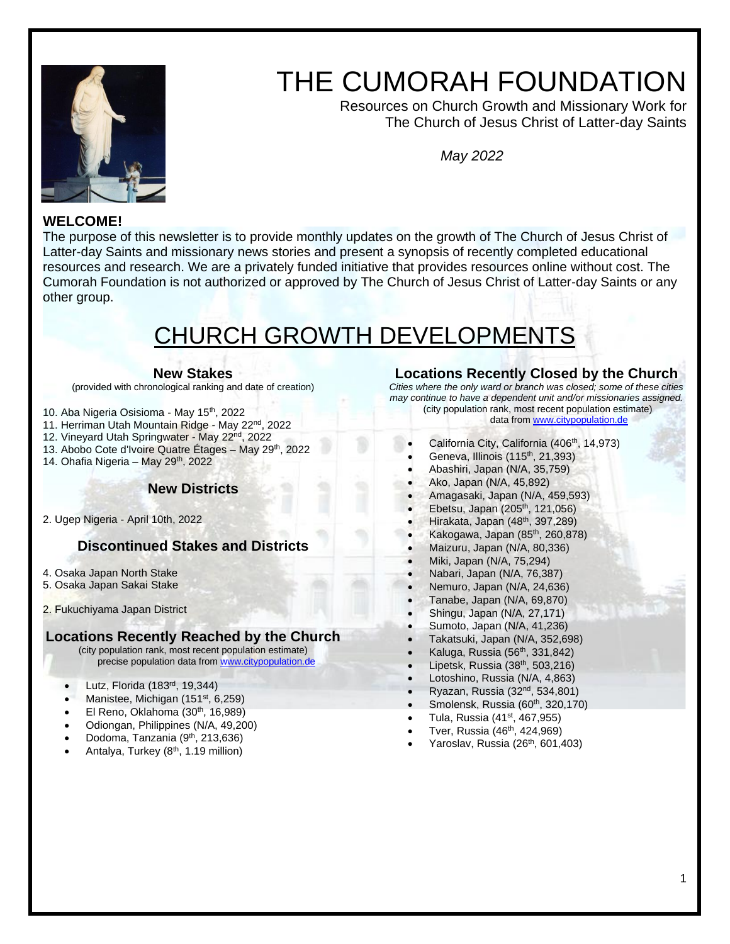

# THE CUMORAH FOUNDATION

 Resources on Church Growth and Missionary Work for The Church of Jesus Christ of Latter-day Saints

*May 2022*

# **WELCOME!**

The purpose of this newsletter is to provide monthly updates on the growth of The Church of Jesus Christ of Latter-day Saints and missionary news stories and present a synopsis of recently completed educational resources and research. We are a privately funded initiative that provides resources online without cost. The Cumorah Foundation is not authorized or approved by The Church of Jesus Christ of Latter-day Saints or any other group.

# CHURCH GROWTH DEVELOPMENTS

#### **New Stakes**

(provided with chronological ranking and date of creation)

10. Aba Nigeria Osisioma - May 15<sup>th</sup>, 2022

- 11. Herriman Utah Mountain Ridge May 22<sup>nd</sup>, 2022
- 12. Vineyard Utah Springwater May 22nd, 2022
- 13. Abobo Cote d'Ivoire Quatre Étages May 29<sup>th</sup>, 2022
- 14. Ohafia Nigeria May 29<sup>th</sup>, 2022

#### **New Districts**

2. Ugep Nigeria - April 10th, 2022

# **Discontinued Stakes and Districts**

- 4. Osaka Japan North Stake
- 5. Osaka Japan Sakai Stake
- 2. Fukuchiyama Japan District

#### **Locations Recently Reached by the Church**

(city population rank, most recent population estimate) precise population data from [www.citypopulation.de](http://www.citypopulation.de/)

- Lutz, Florida (183rd, 19,344)
- Manistee, Michigan  $(151<sup>st</sup>, 6,259)$
- $\bullet$  El Reno, Oklahoma (30<sup>th</sup>, 16,989)
- Odiongan, Philippines (N/A, 49,200)
- Dodoma, Tanzania (9<sup>th</sup>, 213,636)
- Antalya, Turkey (8<sup>th</sup>, 1.19 million)

## **Locations Recently Closed by the Church**

*Cities where the only ward or branch was closed; some of these cities may continue to have a dependent unit and/or missionaries assigned.* (city population rank, most recent population estimate)

data fro[m www.citypopulation.de](http://www.citypopulation.de/)

- California City, California (406<sup>th</sup>, 14,973)
- Geneva, Illinois  $(115<sup>th</sup>, 21,393)$
- Abashiri, Japan (N/A, 35,759)
- Ako, Japan (N/A, 45,892)
- Amagasaki, Japan (N/A, 459,593)
- $\bullet$  Ebetsu, Japan (205<sup>th</sup>, 121,056)
- $\bullet$  Hirakata, Japan (48<sup>th</sup>, 397,289)
- Kakogawa, Japan  $(85<sup>th</sup>, 260, 878)$
- Maizuru, Japan (N/A, 80,336)
- Miki, Japan (N/A, 75,294)
- Nabari, Japan (N/A, 76,387)
- Nemuro, Japan (N/A, 24,636)
- Tanabe, Japan (N/A, 69,870)
- Shingu, Japan (N/A, 27,171)
- Sumoto, Japan (N/A, 41,236)
- Takatsuki, Japan (N/A, 352,698)
- Kaluga, Russia (56<sup>th</sup>, 331,842)
- Lipetsk, Russia (38th, 503,216)
- Lotoshino, Russia (N/A, 4,863)
- Ryazan, Russia (32nd, 534,801)
- Smolensk, Russia (60<sup>th</sup>, 320,170)
- $\bullet$  Tula, Russia (41<sup>st</sup>, 467,955) Tver, Russia (46<sup>th</sup>, 424,969)
- 
- Yaroslav, Russia (26<sup>th</sup>, 601,403)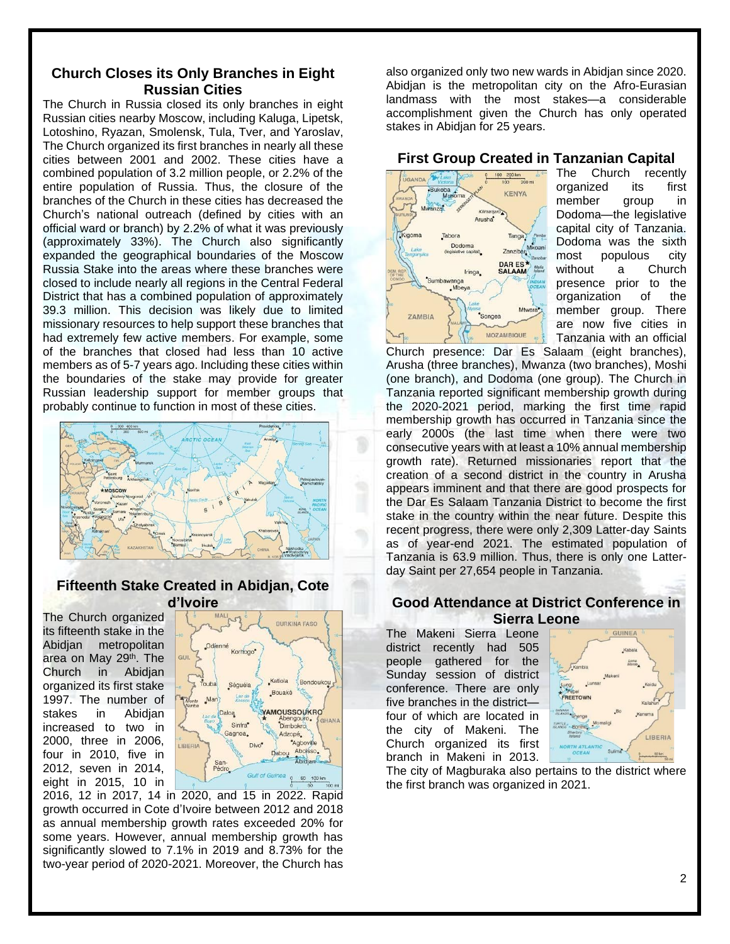# **Church Closes its Only Branches in Eight Russian Cities**

The Church in Russia closed its only branches in eight Russian cities nearby Moscow, including Kaluga, Lipetsk, Lotoshino, Ryazan, Smolensk, Tula, Tver, and Yaroslav, The Church organized its first branches in nearly all these cities between 2001 and 2002. These cities have a combined population of 3.2 million people, or 2.2% of the entire population of Russia. Thus, the closure of the branches of the Church in these cities has decreased the Church's national outreach (defined by cities with an official ward or branch) by 2.2% of what it was previously (approximately 33%). The Church also significantly expanded the geographical boundaries of the Moscow Russia Stake into the areas where these branches were closed to include nearly all regions in the Central Federal District that has a combined population of approximately 39.3 million. This decision was likely due to limited missionary resources to help support these branches that had extremely few active members. For example, some of the branches that closed had less than 10 active members as of 5-7 years ago. Including these cities within the boundaries of the stake may provide for greater Russian leadership support for member groups that probably continue to function in most of these cities.



#### **Fifteenth Stake Created in Abidjan, Cote d'Ivoire**

The Church organized its fifteenth stake in the Abidjan metropolitan area on May 29<sup>th</sup>. The Church in Abidjan organized its first stake 1997. The number of stakes in Abidjan increased to two in 2000, three in 2006, four in 2010, five in 2012, seven in 2014, eight in 2015, 10 in



2016, 12 in 2017, 14 in 2020, and 15 in 2022. Rapid growth occurred in Cote d'Ivoire between 2012 and 2018 as annual membership growth rates exceeded 20% for some years. However, annual membership growth has significantly slowed to 7.1% in 2019 and 8.73% for the two-year period of 2020-2021. Moreover, the Church has also organized only two new wards in Abidjan since 2020. Abidjan is the metropolitan city on the Afro-Eurasian landmass with the most stakes—a considerable accomplishment given the Church has only operated stakes in Abidjan for 25 years.

#### **First Group Created in Tanzanian Capital**



The Church recently organized its first member group in Dodoma—the legislative capital city of Tanzania. Dodoma was the sixth most populous city without a Church presence prior to the organization of the member group. There are now five cities in Tanzania with an official

Church presence: Dar Es Salaam (eight branches), Arusha (three branches), Mwanza (two branches), Moshi (one branch), and Dodoma (one group). The Church in Tanzania reported significant membership growth during the 2020-2021 period, marking the first time rapid membership growth has occurred in Tanzania since the early 2000s (the last time when there were two consecutive years with at least a 10% annual membership growth rate). Returned missionaries report that the creation of a second district in the country in Arusha appears imminent and that there are good prospects for the Dar Es Salaam Tanzania District to become the first stake in the country within the near future. Despite this recent progress, there were only 2,309 Latter-day Saints as of year-end 2021. The estimated population of Tanzania is 63.9 million. Thus, there is only one Latterday Saint per 27,654 people in Tanzania.

#### **Good Attendance at District Conference in Sierra Leone**

The Makeni Sierra Leone district recently had 505 people gathered for the Sunday session of district conference. There are only five branches in the district four of which are located in the city of Makeni. The Church organized its first branch in Makeni in 2013.



The city of Magburaka also pertains to the district where the first branch was organized in 2021.